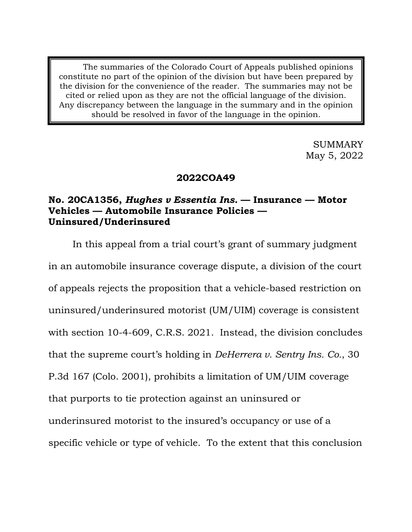The summaries of the Colorado Court of Appeals published opinions constitute no part of the opinion of the division but have been prepared by the division for the convenience of the reader. The summaries may not be cited or relied upon as they are not the official language of the division. Any discrepancy between the language in the summary and in the opinion should be resolved in favor of the language in the opinion.

> SUMMARY May 5, 2022

# **2022COA49**

# **No. 20CA1356,** *Hughes v Essentia Ins.* **— Insurance — Motor Vehicles — Automobile Insurance Policies — Uninsured/Underinsured**

In this appeal from a trial court's grant of summary judgment in an automobile insurance coverage dispute, a division of the court of appeals rejects the proposition that a vehicle-based restriction on uninsured/underinsured motorist (UM/UIM) coverage is consistent with section 10-4-609, C.R.S. 2021. Instead, the division concludes that the supreme court's holding in *DeHerrera v. Sentry Ins. Co.*, 30 P.3d 167 (Colo. 2001), prohibits a limitation of UM/UIM coverage that purports to tie protection against an uninsured or underinsured motorist to the insured's occupancy or use of a specific vehicle or type of vehicle. To the extent that this conclusion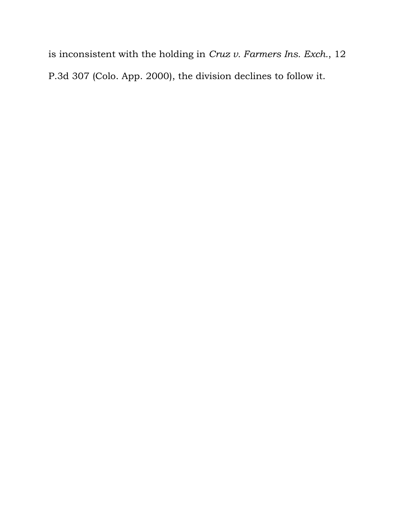is inconsistent with the holding in *Cruz v. Farmers Ins. Exch.*, 12 P.3d 307 (Colo. App. 2000), the division declines to follow it.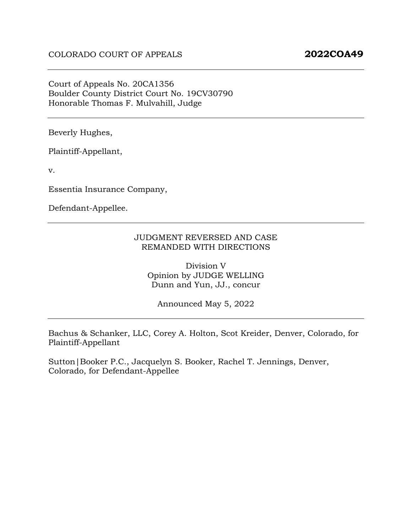#### Court of Appeals No. 20CA1356 Boulder County District Court No. 19CV30790 Honorable Thomas F. Mulvahill, Judge

Beverly Hughes,

Plaintiff-Appellant,

v.

Essentia Insurance Company,

Defendant-Appellee.

#### JUDGMENT REVERSED AND CASE REMANDED WITH DIRECTIONS

Division V Opinion by JUDGE WELLING Dunn and Yun, JJ., concur

Announced May 5, 2022

Bachus & Schanker, LLC, Corey A. Holton, Scot Kreider, Denver, Colorado, for Plaintiff-Appellant

Sutton|Booker P.C., Jacquelyn S. Booker, Rachel T. Jennings, Denver, Colorado, for Defendant-Appellee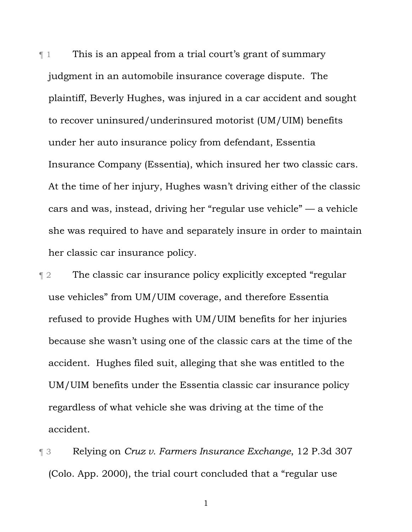¶ 1 This is an appeal from a trial court's grant of summary judgment in an automobile insurance coverage dispute. The plaintiff, Beverly Hughes, was injured in a car accident and sought to recover uninsured/underinsured motorist (UM/UIM) benefits under her auto insurance policy from defendant, Essentia Insurance Company (Essentia), which insured her two classic cars. At the time of her injury, Hughes wasn't driving either of the classic cars and was, instead, driving her "regular use vehicle" — a vehicle she was required to have and separately insure in order to maintain her classic car insurance policy.

¶ 2 The classic car insurance policy explicitly excepted "regular use vehicles" from UM/UIM coverage, and therefore Essentia refused to provide Hughes with UM/UIM benefits for her injuries because she wasn't using one of the classic cars at the time of the accident. Hughes filed suit, alleging that she was entitled to the UM/UIM benefits under the Essentia classic car insurance policy regardless of what vehicle she was driving at the time of the accident.

¶ 3 Relying on *Cruz v. Farmers Insurance Exchange*, 12 P.3d 307 (Colo. App. 2000), the trial court concluded that a "regular use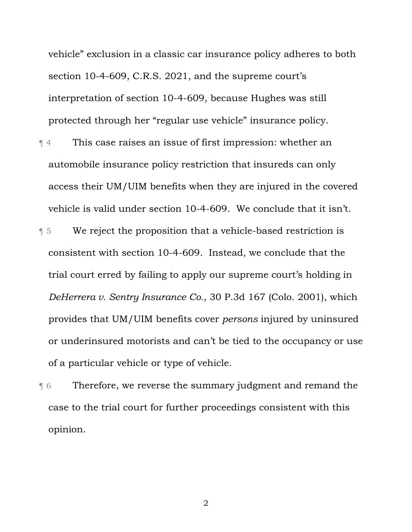vehicle" exclusion in a classic car insurance policy adheres to both section 10-4-609, C.R.S. 2021, and the supreme court's interpretation of section 10-4-609, because Hughes was still protected through her "regular use vehicle" insurance policy.

- ¶ 4 This case raises an issue of first impression: whether an automobile insurance policy restriction that insureds can only access their UM/UIM benefits when they are injured in the covered vehicle is valid under section 10-4-609. We conclude that it isn't.
- ¶ 5 We reject the proposition that a vehicle-based restriction is consistent with section 10-4-609. Instead, we conclude that the trial court erred by failing to apply our supreme court's holding in *DeHerrera v. Sentry Insurance Co.*, 30 P.3d 167 (Colo. 2001), which provides that UM/UIM benefits cover *persons* injured by uninsured or underinsured motorists and can't be tied to the occupancy or use of a particular vehicle or type of vehicle.
- **Therefore, we reverse the summary judgment and remand the** case to the trial court for further proceedings consistent with this opinion.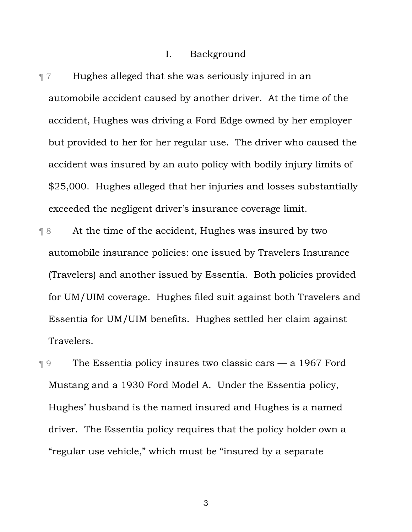### I. Background

- ¶ 7 Hughes alleged that she was seriously injured in an automobile accident caused by another driver. At the time of the accident, Hughes was driving a Ford Edge owned by her employer but provided to her for her regular use. The driver who caused the accident was insured by an auto policy with bodily injury limits of \$25,000. Hughes alleged that her injuries and losses substantially exceeded the negligent driver's insurance coverage limit.
- ¶ 8 At the time of the accident, Hughes was insured by two automobile insurance policies: one issued by Travelers Insurance (Travelers) and another issued by Essentia. Both policies provided for UM/UIM coverage. Hughes filed suit against both Travelers and Essentia for UM/UIM benefits. Hughes settled her claim against Travelers.
- ¶ 9 The Essentia policy insures two classic cars a 1967 Ford Mustang and a 1930 Ford Model A. Under the Essentia policy, Hughes' husband is the named insured and Hughes is a named driver. The Essentia policy requires that the policy holder own a "regular use vehicle," which must be "insured by a separate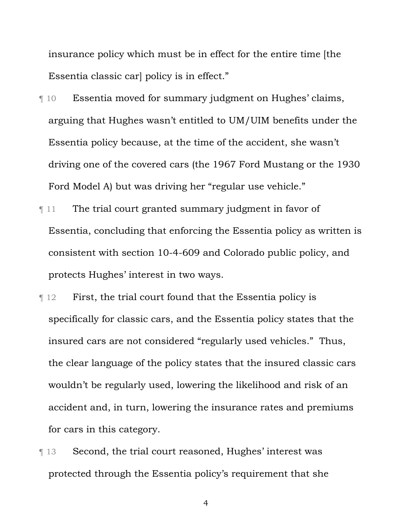insurance policy which must be in effect for the entire time [the Essentia classic carl policy is in effect."

- ¶ 10 Essentia moved for summary judgment on Hughes' claims, arguing that Hughes wasn't entitled to UM/UIM benefits under the Essentia policy because, at the time of the accident, she wasn't driving one of the covered cars (the 1967 Ford Mustang or the 1930 Ford Model A) but was driving her "regular use vehicle."
- ¶ 11 The trial court granted summary judgment in favor of Essentia, concluding that enforcing the Essentia policy as written is consistent with section 10-4-609 and Colorado public policy, and protects Hughes' interest in two ways.
- **Term 5 First, the trial court found that the Essentia policy is** specifically for classic cars, and the Essentia policy states that the insured cars are not considered "regularly used vehicles." Thus, the clear language of the policy states that the insured classic cars wouldn't be regularly used, lowering the likelihood and risk of an accident and, in turn, lowering the insurance rates and premiums for cars in this category.
- ¶ 13 Second, the trial court reasoned, Hughes' interest was protected through the Essentia policy's requirement that she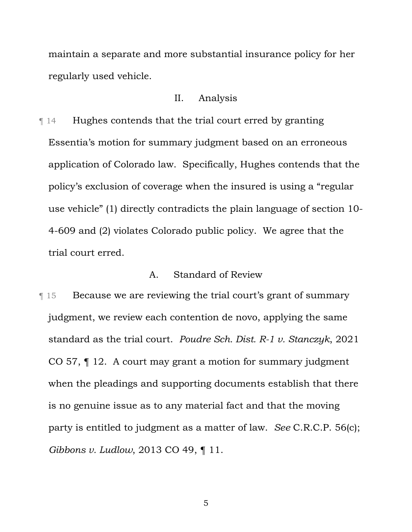maintain a separate and more substantial insurance policy for her regularly used vehicle.

# II. Analysis

¶ 14 Hughes contends that the trial court erred by granting Essentia's motion for summary judgment based on an erroneous application of Colorado law. Specifically, Hughes contends that the policy's exclusion of coverage when the insured is using a "regular use vehicle" (1) directly contradicts the plain language of section 10- 4-609 and (2) violates Colorado public policy. We agree that the trial court erred.

# A. Standard of Review

¶ 15 Because we are reviewing the trial court's grant of summary judgment, we review each contention de novo, applying the same standard as the trial court. *Poudre Sch. Dist. R-1 v. Stanczyk*, 2021 CO 57, ¶ 12. A court may grant a motion for summary judgment when the pleadings and supporting documents establish that there is no genuine issue as to any material fact and that the moving party is entitled to judgment as a matter of law. *See* C.R.C.P. 56(c); *Gibbons v. Ludlow*, 2013 CO 49, ¶ 11.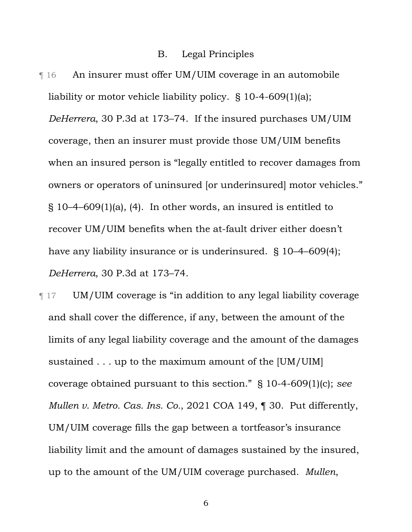### B. Legal Principles

¶ 16 An insurer must offer UM/UIM coverage in an automobile liability or motor vehicle liability policy. § 10-4-609(1)(a); *DeHerrera*, 30 P.3d at 173–74. If the insured purchases UM/UIM coverage, then an insurer must provide those UM/UIM benefits when an insured person is "legally entitled to recover damages from owners or operators of uninsured [or underinsured] motor vehicles." § 10–4–609(1)(a), (4). In other words, an insured is entitled to recover UM/UIM benefits when the at-fault driver either doesn't have any liability insurance or is underinsured. § 10–4–609(4); *DeHerrera*, 30 P.3d at 173–74.

¶ 17 UM/UIM coverage is "in addition to any legal liability coverage and shall cover the difference, if any, between the amount of the limits of any legal liability coverage and the amount of the damages sustained . . . up to the maximum amount of the [UM/UIM] coverage obtained pursuant to this section." § 10-4-609(1)(c); *see Mullen v. Metro. Cas. Ins. Co.*, 2021 COA 149, ¶ 30. Put differently, UM/UIM coverage fills the gap between a tortfeasor's insurance liability limit and the amount of damages sustained by the insured, up to the amount of the UM/UIM coverage purchased. *Mullen*,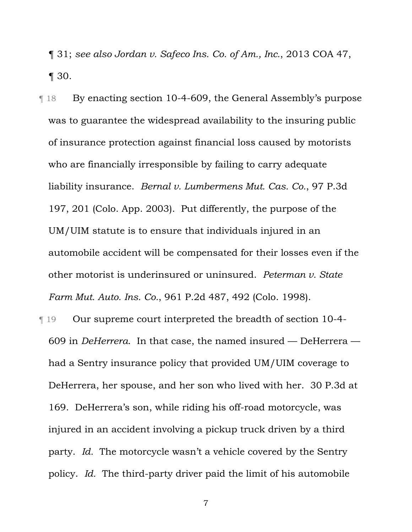¶ 31; *see also Jordan v. Safeco Ins. Co. of Am., Inc.*, 2013 COA 47, ¶ 30.

¶ 18 By enacting section 10-4-609, the General Assembly's purpose was to guarantee the widespread availability to the insuring public of insurance protection against financial loss caused by motorists who are financially irresponsible by failing to carry adequate liability insurance. *Bernal v. Lumbermens Mut. Cas. Co.*, 97 P.3d 197, 201 (Colo. App. 2003). Put differently, the purpose of the UM/UIM statute is to ensure that individuals injured in an automobile accident will be compensated for their losses even if the other motorist is underinsured or uninsured. *Peterman v. State Farm Mut. Auto. Ins. Co.*, 961 P.2d 487, 492 (Colo. 1998).

¶ 19 Our supreme court interpreted the breadth of section 10-4- 609 in *DeHerrera*. In that case, the named insured — DeHerrera had a Sentry insurance policy that provided UM/UIM coverage to DeHerrera, her spouse, and her son who lived with her. 30 P.3d at 169. DeHerrera's son, while riding his off-road motorcycle, was injured in an accident involving a pickup truck driven by a third party. *Id.* The motorcycle wasn't a vehicle covered by the Sentry policy. *Id.* The third-party driver paid the limit of his automobile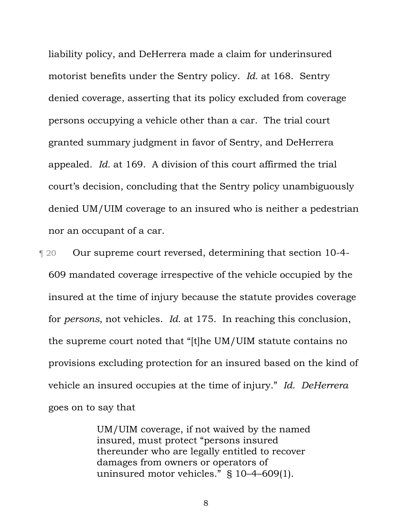liability policy, and DeHerrera made a claim for underinsured motorist benefits under the Sentry policy. *Id.* at 168. Sentry denied coverage, asserting that its policy excluded from coverage persons occupying a vehicle other than a car. The trial court granted summary judgment in favor of Sentry, and DeHerrera appealed. *Id.* at 169. A division of this court affirmed the trial court's decision, concluding that the Sentry policy unambiguously denied UM/UIM coverage to an insured who is neither a pedestrian nor an occupant of a car.

¶ 20 Our supreme court reversed, determining that section 10-4- 609 mandated coverage irrespective of the vehicle occupied by the insured at the time of injury because the statute provides coverage for *persons*, not vehicles. *Id.* at 175. In reaching this conclusion, the supreme court noted that "[t]he UM/UIM statute contains no provisions excluding protection for an insured based on the kind of vehicle an insured occupies at the time of injury." *Id. DeHerrera* goes on to say that

> UM/UIM coverage, if not waived by the named insured, must protect "persons insured thereunder who are legally entitled to recover damages from owners or operators of uninsured motor vehicles." § 10–4–609(1).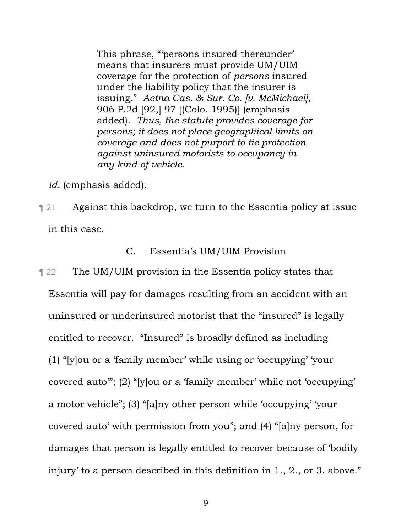This phrase, "'persons insured thereunder' means that insurers must provide UM/UIM coverage for the protection of *persons* insured under the liability policy that the insurer is issuing." *Aetna Cas. & Sur. Co. [v. McMichael]*, 906 P.2d [92,] 97 [(Colo. 1995)] (emphasis added). *Thus, the statute provides coverage for persons; it does not place geographical limits on coverage and does not purport to tie protection against uninsured motorists to occupancy in any kind of vehicle*.

*Id.* (emphasis added).

¶ 21 Against this backdrop, we turn to the Essentia policy at issue in this case.

### C. Essentia's UM/UIM Provision

**The UM/UIM provision in the Essentia policy states that** Essentia will pay for damages resulting from an accident with an uninsured or underinsured motorist that the "insured" is legally entitled to recover. "Insured" is broadly defined as including (1) "[y]ou or a 'family member' while using or 'occupying' 'your covered auto'"; (2) "[y]ou or a 'family member' while not 'occupying' a motor vehicle"; (3) "[a]ny other person while 'occupying' 'your covered auto' with permission from you"; and (4) "[a]ny person, for damages that person is legally entitled to recover because of 'bodily injury' to a person described in this definition in 1., 2., or 3. above."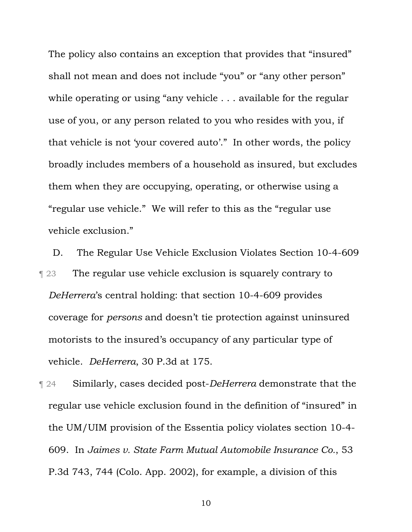The policy also contains an exception that provides that "insured" shall not mean and does not include "you" or "any other person" while operating or using "any vehicle . . . available for the regular use of you, or any person related to you who resides with you, if that vehicle is not 'your covered auto'." In other words, the policy broadly includes members of a household as insured, but excludes them when they are occupying, operating, or otherwise using a "regular use vehicle." We will refer to this as the "regular use vehicle exclusion."

D. The Regular Use Vehicle Exclusion Violates Section 10-4-609 **The regular use vehicle exclusion is squarely contrary to** *DeHerrera*'s central holding: that section 10-4-609 provides coverage for *persons* and doesn't tie protection against uninsured motorists to the insured's occupancy of any particular type of vehicle. *DeHerrera*, 30 P.3d at 175.

¶ 24 Similarly, cases decided post-*DeHerrera* demonstrate that the regular use vehicle exclusion found in the definition of "insured" in the UM/UIM provision of the Essentia policy violates section 10-4- 609. In *Jaimes v. State Farm Mutual Automobile Insurance Co.*, 53 P.3d 743, 744 (Colo. App. 2002), for example, a division of this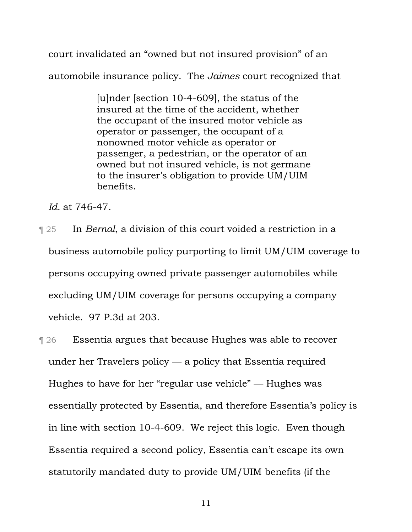court invalidated an "owned but not insured provision" of an automobile insurance policy. The *Jaimes* court recognized that

> [u]nder [section 10-4-609], the status of the insured at the time of the accident, whether the occupant of the insured motor vehicle as operator or passenger, the occupant of a nonowned motor vehicle as operator or passenger, a pedestrian, or the operator of an owned but not insured vehicle, is not germane to the insurer's obligation to provide UM/UIM benefits.

*Id.* at 746-47.

- ¶ 25 In *Bernal*, a division of this court voided a restriction in a business automobile policy purporting to limit UM/UIM coverage to persons occupying owned private passenger automobiles while excluding UM/UIM coverage for persons occupying a company vehicle. 97 P.3d at 203.
- ¶ 26 Essentia argues that because Hughes was able to recover under her Travelers policy — a policy that Essentia required Hughes to have for her "regular use vehicle" — Hughes was essentially protected by Essentia, and therefore Essentia's policy is in line with section 10-4-609. We reject this logic. Even though Essentia required a second policy, Essentia can't escape its own statutorily mandated duty to provide UM/UIM benefits (if the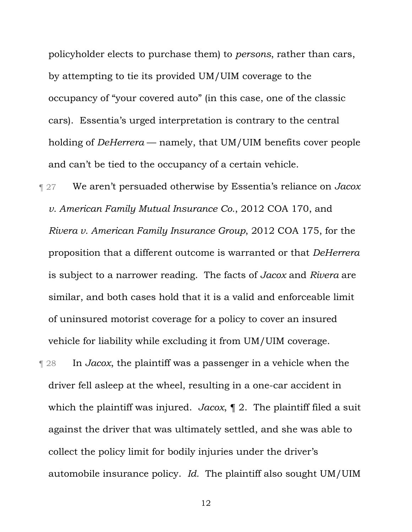policyholder elects to purchase them) to *persons*, rather than cars, by attempting to tie its provided UM/UIM coverage to the occupancy of "your covered auto" (in this case, one of the classic cars). Essentia's urged interpretation is contrary to the central holding of *DeHerrera* — namely, that UM/UIM benefits cover people and can't be tied to the occupancy of a certain vehicle.

¶ 27 We aren't persuaded otherwise by Essentia's reliance on *Jacox v. American Family Mutual Insurance Co.*, 2012 COA 170, and *Rivera v. American Family Insurance Group*, 2012 COA 175, for the proposition that a different outcome is warranted or that *DeHerrera* is subject to a narrower reading. The facts of *Jacox* and *Rivera* are similar, and both cases hold that it is a valid and enforceable limit of uninsured motorist coverage for a policy to cover an insured vehicle for liability while excluding it from UM/UIM coverage.

¶ 28 In *Jacox*, the plaintiff was a passenger in a vehicle when the driver fell asleep at the wheel, resulting in a one-car accident in which the plaintiff was injured. *Jacox*, ¶ 2. The plaintiff filed a suit against the driver that was ultimately settled, and she was able to collect the policy limit for bodily injuries under the driver's automobile insurance policy. *Id.* The plaintiff also sought UM/UIM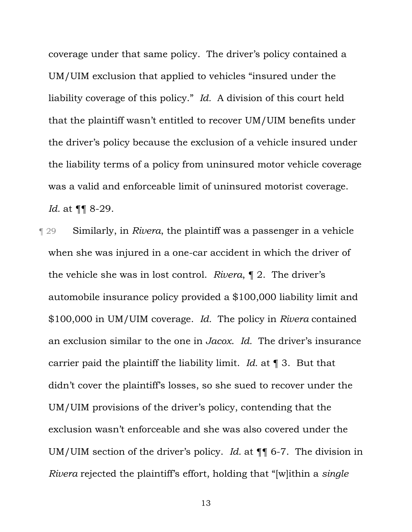coverage under that same policy. The driver's policy contained a UM/UIM exclusion that applied to vehicles "insured under the liability coverage of this policy." *Id.* A division of this court held that the plaintiff wasn't entitled to recover UM/UIM benefits under the driver's policy because the exclusion of a vehicle insured under the liability terms of a policy from uninsured motor vehicle coverage was a valid and enforceable limit of uninsured motorist coverage. *Id.* at ¶¶ 8-29.

¶ 29 Similarly, in *Rivera*, the plaintiff was a passenger in a vehicle when she was injured in a one-car accident in which the driver of the vehicle she was in lost control. *Rivera*, ¶ 2. The driver's automobile insurance policy provided a \$100,000 liability limit and \$100,000 in UM/UIM coverage. *Id.* The policy in *Rivera* contained an exclusion similar to the one in *Jacox*. *Id.* The driver's insurance carrier paid the plaintiff the liability limit. *Id.* at ¶ 3. But that didn't cover the plaintiff's losses, so she sued to recover under the UM/UIM provisions of the driver's policy, contending that the exclusion wasn't enforceable and she was also covered under the UM/UIM section of the driver's policy. *Id.* at ¶¶ 6-7. The division in *Rivera* rejected the plaintiff's effort, holding that "[w]ithin a *single*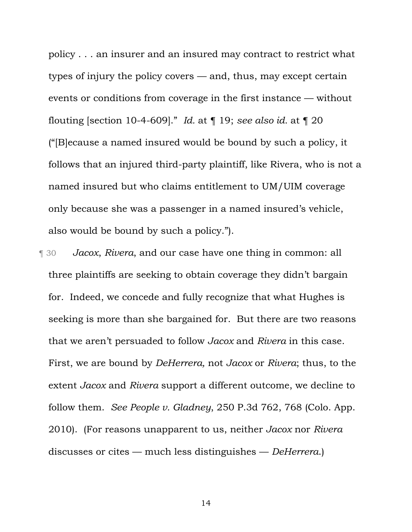policy . . . an insurer and an insured may contract to restrict what types of injury the policy covers — and, thus, may except certain events or conditions from coverage in the first instance — without flouting [section 10-4-609]." *Id.* at ¶ 19; *see also id.* at ¶ 20 ("[B]ecause a named insured would be bound by such a policy, it follows that an injured third-party plaintiff, like Rivera, who is not a named insured but who claims entitlement to UM/UIM coverage only because she was a passenger in a named insured's vehicle, also would be bound by such a policy.").

¶ 30 *Jacox*, *Rivera*, and our case have one thing in common: all three plaintiffs are seeking to obtain coverage they didn't bargain for. Indeed, we concede and fully recognize that what Hughes is seeking is more than she bargained for. But there are two reasons that we aren't persuaded to follow *Jacox* and *Rivera* in this case. First, we are bound by *DeHerrera,* not *Jacox* or *Rivera*; thus, to the extent *Jacox* and *Rivera* support a different outcome, we decline to follow them. *See People v. Gladney*, 250 P.3d 762, 768 (Colo. App. 2010). (For reasons unapparent to us, neither *Jacox* nor *Rivera* discusses or cites — much less distinguishes — *DeHerrera*.)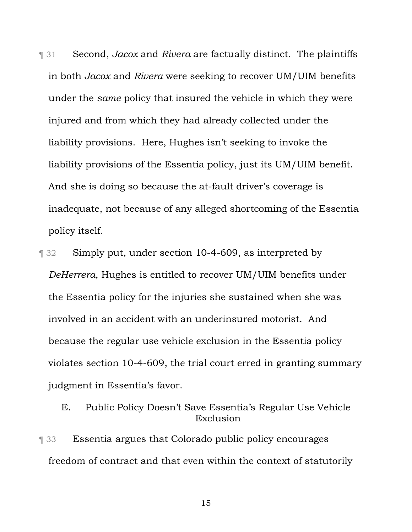¶ 31 Second, *Jacox* and *Rivera* are factually distinct. The plaintiffs in both *Jacox* and *Rivera* were seeking to recover UM/UIM benefits under the *same* policy that insured the vehicle in which they were injured and from which they had already collected under the liability provisions. Here, Hughes isn't seeking to invoke the liability provisions of the Essentia policy, just its UM/UIM benefit. And she is doing so because the at-fault driver's coverage is inadequate, not because of any alleged shortcoming of the Essentia policy itself.

**Term 32** Simply put, under section 10-4-609, as interpreted by *DeHerrera*, Hughes is entitled to recover UM/UIM benefits under the Essentia policy for the injuries she sustained when she was involved in an accident with an underinsured motorist. And because the regular use vehicle exclusion in the Essentia policy violates section 10-4-609, the trial court erred in granting summary judgment in Essentia's favor.

E. Public Policy Doesn't Save Essentia's Regular Use Vehicle Exclusion

¶ 33 Essentia argues that Colorado public policy encourages freedom of contract and that even within the context of statutorily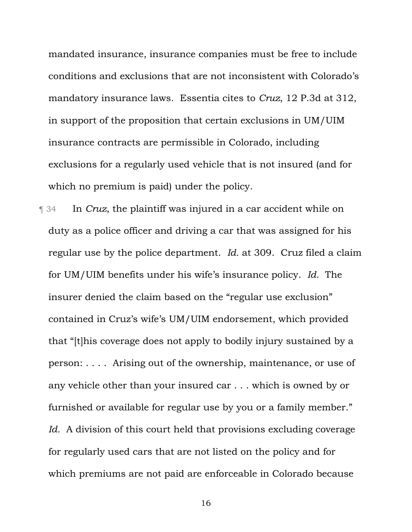mandated insurance, insurance companies must be free to include conditions and exclusions that are not inconsistent with Colorado's mandatory insurance laws. Essentia cites to *Cruz*, 12 P.3d at 312, in support of the proposition that certain exclusions in UM/UIM insurance contracts are permissible in Colorado, including exclusions for a regularly used vehicle that is not insured (and for which no premium is paid) under the policy.

¶ 34 In *Cruz*, the plaintiff was injured in a car accident while on duty as a police officer and driving a car that was assigned for his regular use by the police department. *Id.* at 309. Cruz filed a claim for UM/UIM benefits under his wife's insurance policy. *Id.* The insurer denied the claim based on the "regular use exclusion" contained in Cruz's wife's UM/UIM endorsement, which provided that "[t]his coverage does not apply to bodily injury sustained by a person: . . . . Arising out of the ownership, maintenance, or use of any vehicle other than your insured car . . . which is owned by or furnished or available for regular use by you or a family member." *Id.* A division of this court held that provisions excluding coverage for regularly used cars that are not listed on the policy and for which premiums are not paid are enforceable in Colorado because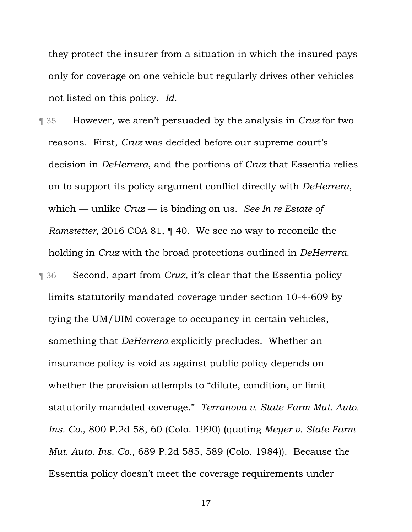they protect the insurer from a situation in which the insured pays only for coverage on one vehicle but regularly drives other vehicles not listed on this policy. *Id.*

¶ 35 However, we aren't persuaded by the analysis in *Cruz* for two reasons. First, *Cruz* was decided before our supreme court's decision in *DeHerrera*, and the portions of *Cruz* that Essentia relies on to support its policy argument conflict directly with *DeHerrera*, which — unlike *Cruz* — is binding on us. *See In re Estate of Ramstetter*, 2016 COA 81, ¶ 40. We see no way to reconcile the holding in *Cruz* with the broad protections outlined in *DeHerrera*. ¶ 36 Second, apart from *Cruz*, it's clear that the Essentia policy limits statutorily mandated coverage under section 10-4-609 by tying the UM/UIM coverage to occupancy in certain vehicles, something that *DeHerrera* explicitly precludes. Whether an insurance policy is void as against public policy depends on whether the provision attempts to "dilute, condition, or limit statutorily mandated coverage." *Terranova v. State Farm Mut. Auto. Ins. Co.*, 800 P.2d 58, 60 (Colo. 1990) (quoting *Meyer v. State Farm Mut. Auto. Ins. Co.*, 689 P.2d 585, 589 (Colo. 1984)). Because the Essentia policy doesn't meet the coverage requirements under